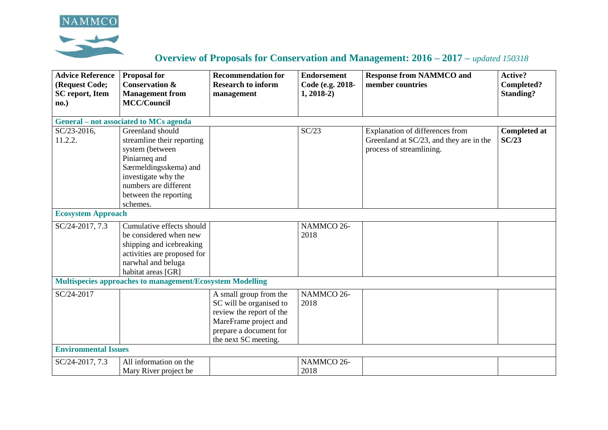



## **Overview of Proposals for Conservation and Management: 2016 – 2017 –** *updated 150318*

| <b>Advice Reference</b><br>(Request Code;<br><b>SC</b> report, Item | <b>Proposal for</b><br><b>Conservation &amp;</b><br><b>Management</b> from | <b>Recommendation for</b><br><b>Research to inform</b><br>management | <b>Endorsement</b><br>Code (e.g. 2018-<br>$1, 2018-2)$ | <b>Response from NAMMCO and</b><br>member countries | <b>Active?</b><br>Completed?<br><b>Standing?</b> |
|---------------------------------------------------------------------|----------------------------------------------------------------------------|----------------------------------------------------------------------|--------------------------------------------------------|-----------------------------------------------------|--------------------------------------------------|
| no.)                                                                | <b>MCC/Council</b>                                                         |                                                                      |                                                        |                                                     |                                                  |
|                                                                     |                                                                            |                                                                      |                                                        |                                                     |                                                  |
|                                                                     | General – not associated to MCs agenda                                     |                                                                      |                                                        |                                                     |                                                  |
| SC/23-2016,                                                         | Greenland should                                                           |                                                                      | SC/23                                                  | Explanation of differences from                     | <b>Completed at</b>                              |
| 11.2.2.                                                             | streamline their reporting                                                 |                                                                      |                                                        | Greenland at SC/23, and they are in the             | SC/23                                            |
|                                                                     | system (between                                                            |                                                                      |                                                        | process of streamlining.                            |                                                  |
|                                                                     | Piniarneq and                                                              |                                                                      |                                                        |                                                     |                                                  |
|                                                                     | Særmeldingsskema) and                                                      |                                                                      |                                                        |                                                     |                                                  |
|                                                                     | investigate why the                                                        |                                                                      |                                                        |                                                     |                                                  |
|                                                                     | numbers are different                                                      |                                                                      |                                                        |                                                     |                                                  |
|                                                                     | between the reporting                                                      |                                                                      |                                                        |                                                     |                                                  |
|                                                                     | schemes.                                                                   |                                                                      |                                                        |                                                     |                                                  |
| <b>Ecosystem Approach</b>                                           |                                                                            |                                                                      |                                                        |                                                     |                                                  |
| SC/24-2017, 7.3                                                     | Cumulative effects should                                                  |                                                                      | NAMMCO 26-                                             |                                                     |                                                  |
|                                                                     | be considered when new                                                     |                                                                      | 2018                                                   |                                                     |                                                  |
|                                                                     | shipping and icebreaking                                                   |                                                                      |                                                        |                                                     |                                                  |
|                                                                     | activities are proposed for                                                |                                                                      |                                                        |                                                     |                                                  |
|                                                                     | narwhal and beluga                                                         |                                                                      |                                                        |                                                     |                                                  |
|                                                                     | habitat areas [GR]                                                         |                                                                      |                                                        |                                                     |                                                  |
|                                                                     | Multispecies approaches to management/Ecosystem Modelling                  |                                                                      |                                                        |                                                     |                                                  |
| SC/24-2017                                                          |                                                                            | A small group from the                                               | NAMMCO 26-                                             |                                                     |                                                  |
|                                                                     |                                                                            | SC will be organised to                                              | 2018                                                   |                                                     |                                                  |
|                                                                     |                                                                            | review the report of the                                             |                                                        |                                                     |                                                  |
|                                                                     |                                                                            | MareFrame project and                                                |                                                        |                                                     |                                                  |
|                                                                     |                                                                            | prepare a document for                                               |                                                        |                                                     |                                                  |
|                                                                     |                                                                            | the next SC meeting.                                                 |                                                        |                                                     |                                                  |
| <b>Environmental Issues</b>                                         |                                                                            |                                                                      |                                                        |                                                     |                                                  |
| SC/24-2017, 7.3                                                     | All information on the                                                     |                                                                      | NAMMCO 26-                                             |                                                     |                                                  |
|                                                                     | Mary River project be                                                      |                                                                      | 2018                                                   |                                                     |                                                  |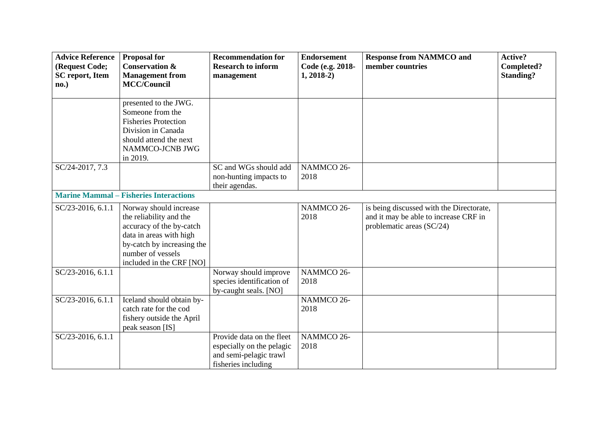| <b>Advice Reference</b><br>(Request Code;<br><b>SC</b> report, Item<br>no.) | <b>Proposal for</b><br><b>Conservation &amp;</b><br><b>Management from</b><br><b>MCC/Council</b>                                                                                        | <b>Recommendation for</b><br><b>Research to inform</b><br>management                                    | <b>Endorsement</b><br>Code (e.g. 2018-<br>$1, 2018-2)$ | <b>Response from NAMMCO and</b><br>member countries                                                            | Active?<br>Completed?<br><b>Standing?</b> |
|-----------------------------------------------------------------------------|-----------------------------------------------------------------------------------------------------------------------------------------------------------------------------------------|---------------------------------------------------------------------------------------------------------|--------------------------------------------------------|----------------------------------------------------------------------------------------------------------------|-------------------------------------------|
|                                                                             | presented to the JWG.<br>Someone from the<br><b>Fisheries Protection</b><br>Division in Canada<br>should attend the next<br>NAMMCO-JCNB JWG<br>in 2019.                                 |                                                                                                         |                                                        |                                                                                                                |                                           |
| SC/24-2017, 7.3                                                             |                                                                                                                                                                                         | SC and WGs should add<br>non-hunting impacts to<br>their agendas.                                       | NAMMCO 26-<br>2018                                     |                                                                                                                |                                           |
|                                                                             | <b>Marine Mammal – Fisheries Interactions</b>                                                                                                                                           |                                                                                                         |                                                        |                                                                                                                |                                           |
| SC/23-2016, 6.1.1                                                           | Norway should increase<br>the reliability and the<br>accuracy of the by-catch<br>data in areas with high<br>by-catch by increasing the<br>number of vessels<br>included in the CRF [NO] |                                                                                                         | NAMMCO 26-<br>2018                                     | is being discussed with the Directorate,<br>and it may be able to increase CRF in<br>problematic areas (SC/24) |                                           |
| SC/23-2016, 6.1.1                                                           |                                                                                                                                                                                         | Norway should improve<br>species identification of<br>by-caught seals. [NO]                             | NAMMCO 26-<br>2018                                     |                                                                                                                |                                           |
| SC/23-2016, 6.1.1                                                           | Iceland should obtain by-<br>catch rate for the cod<br>fishery outside the April<br>peak season [IS]                                                                                    |                                                                                                         | NAMMCO 26-<br>2018                                     |                                                                                                                |                                           |
| SC/23-2016, 6.1.1                                                           |                                                                                                                                                                                         | Provide data on the fleet<br>especially on the pelagic<br>and semi-pelagic trawl<br>fisheries including | NAMMCO 26-<br>2018                                     |                                                                                                                |                                           |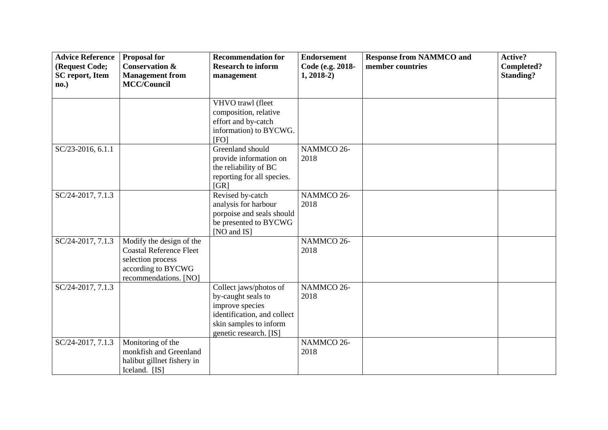| <b>Advice Reference</b><br>(Request Code;<br><b>SC</b> report, Item<br>no.) | <b>Proposal for</b><br><b>Conservation &amp;</b><br><b>Management from</b><br><b>MCC/Council</b>                               | <b>Recommendation for</b><br><b>Research to inform</b><br>management                                                                               | <b>Endorsement</b><br>Code (e.g. 2018-<br>$1, 2018-2)$ | <b>Response from NAMMCO and</b><br>member countries | Active?<br>Completed?<br><b>Standing?</b> |
|-----------------------------------------------------------------------------|--------------------------------------------------------------------------------------------------------------------------------|----------------------------------------------------------------------------------------------------------------------------------------------------|--------------------------------------------------------|-----------------------------------------------------|-------------------------------------------|
|                                                                             |                                                                                                                                | VHVO trawl (fleet<br>composition, relative<br>effort and by-catch<br>information) to BYCWG.<br>[FO]                                                |                                                        |                                                     |                                           |
| SC/23-2016, 6.1.1                                                           |                                                                                                                                | Greenland should<br>provide information on<br>the reliability of BC<br>reporting for all species.<br>[GR]                                          | NAMMCO 26-<br>2018                                     |                                                     |                                           |
| SC/24-2017, 7.1.3                                                           |                                                                                                                                | Revised by-catch<br>analysis for harbour<br>porpoise and seals should<br>be presented to BYCWG<br>[NO and IS]                                      | NAMMCO 26-<br>2018                                     |                                                     |                                           |
| SC/24-2017, 7.1.3                                                           | Modify the design of the<br><b>Coastal Reference Fleet</b><br>selection process<br>according to BYCWG<br>recommendations. [NO] |                                                                                                                                                    | NAMMCO 26-<br>2018                                     |                                                     |                                           |
| SC/24-2017, 7.1.3                                                           |                                                                                                                                | Collect jaws/photos of<br>by-caught seals to<br>improve species<br>identification, and collect<br>skin samples to inform<br>genetic research. [IS] | NAMMCO 26-<br>2018                                     |                                                     |                                           |
| SC/24-2017, 7.1.3                                                           | Monitoring of the<br>monkfish and Greenland<br>halibut gillnet fishery in<br>Iceland. [IS]                                     |                                                                                                                                                    | NAMMCO 26-<br>2018                                     |                                                     |                                           |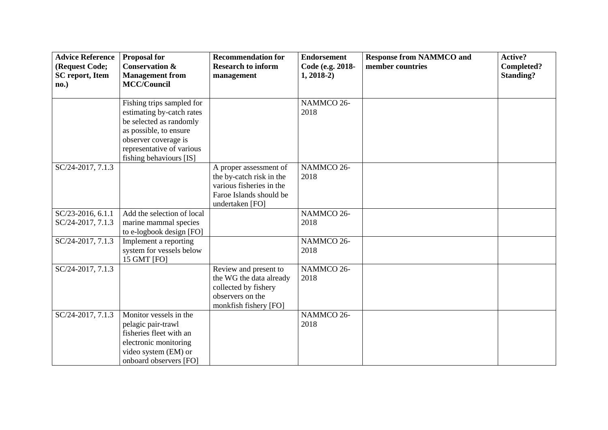| <b>Advice Reference</b><br>(Request Code;<br><b>SC</b> report, Item<br>no.) | <b>Proposal for</b><br><b>Conservation &amp;</b><br><b>Management from</b><br><b>MCC/Council</b>                                                                                            | <b>Recommendation for</b><br><b>Research to inform</b><br>management                                                         | <b>Endorsement</b><br>Code (e.g. 2018-<br>$1, 2018-2)$ | <b>Response from NAMMCO and</b><br>member countries | Active?<br>Completed?<br><b>Standing?</b> |
|-----------------------------------------------------------------------------|---------------------------------------------------------------------------------------------------------------------------------------------------------------------------------------------|------------------------------------------------------------------------------------------------------------------------------|--------------------------------------------------------|-----------------------------------------------------|-------------------------------------------|
|                                                                             | Fishing trips sampled for<br>estimating by-catch rates<br>be selected as randomly<br>as possible, to ensure<br>observer coverage is<br>representative of various<br>fishing behaviours [IS] |                                                                                                                              | NAMMCO 26-<br>2018                                     |                                                     |                                           |
| $SC/24-2017, 7.1.3$                                                         |                                                                                                                                                                                             | A proper assessment of<br>the by-catch risk in the<br>various fisheries in the<br>Faroe Islands should be<br>undertaken [FO] | NAMMCO 26-<br>2018                                     |                                                     |                                           |
| SC/23-2016, 6.1.1<br>SC/24-2017, 7.1.3                                      | Add the selection of local<br>marine mammal species<br>to e-logbook design [FO]                                                                                                             |                                                                                                                              | NAMMCO 26-<br>2018                                     |                                                     |                                           |
| SC/24-2017, 7.1.3                                                           | Implement a reporting<br>system for vessels below<br>15 GMT [FO]                                                                                                                            |                                                                                                                              | NAMMCO 26-<br>2018                                     |                                                     |                                           |
| SC/24-2017, 7.1.3                                                           |                                                                                                                                                                                             | Review and present to<br>the WG the data already<br>collected by fishery<br>observers on the<br>monkfish fishery [FO]        | NAMMCO 26-<br>2018                                     |                                                     |                                           |
| SC/24-2017, 7.1.3                                                           | Monitor vessels in the<br>pelagic pair-trawl<br>fisheries fleet with an<br>electronic monitoring<br>video system (EM) or<br>onboard observers [FO]                                          |                                                                                                                              | NAMMCO 26-<br>2018                                     |                                                     |                                           |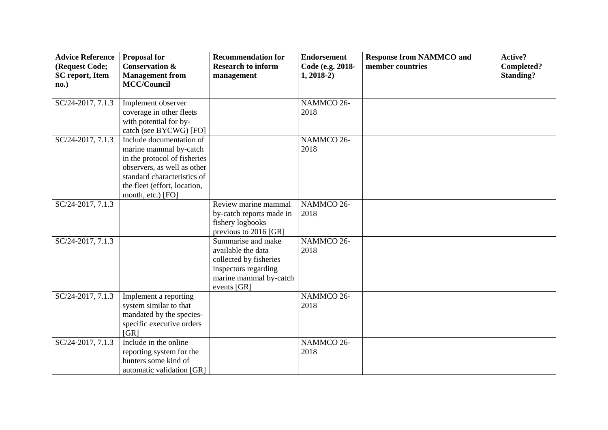| <b>Advice Reference</b><br>(Request Code;<br><b>SC</b> report, Item<br>no.) | <b>Proposal for</b><br><b>Conservation &amp;</b><br><b>Management from</b><br><b>MCC/Council</b>                                                                                                      | <b>Recommendation for</b><br><b>Research to inform</b><br>management                                                                | <b>Endorsement</b><br>Code (e.g. 2018-<br>$1, 2018-2)$ | <b>Response from NAMMCO and</b><br>member countries | Active?<br>Completed?<br><b>Standing?</b> |
|-----------------------------------------------------------------------------|-------------------------------------------------------------------------------------------------------------------------------------------------------------------------------------------------------|-------------------------------------------------------------------------------------------------------------------------------------|--------------------------------------------------------|-----------------------------------------------------|-------------------------------------------|
| $SC/24-2017, 7.1.3$                                                         | Implement observer<br>coverage in other fleets<br>with potential for by-<br>catch (see BYCWG) [FO]                                                                                                    |                                                                                                                                     | NAMMCO 26-<br>2018                                     |                                                     |                                           |
| $SC/24-2017, 7.\overline{1.3}$                                              | Include documentation of<br>marine mammal by-catch<br>in the protocol of fisheries<br>observers, as well as other<br>standard characteristics of<br>the fleet (effort, location,<br>month, etc.) [FO] |                                                                                                                                     | NAMMCO 26-<br>2018                                     |                                                     |                                           |
| SC/24-2017, 7.1.3                                                           |                                                                                                                                                                                                       | Review marine mammal<br>by-catch reports made in<br>fishery logbooks<br>previous to 2016 [GR]                                       | NAMMCO 26-<br>2018                                     |                                                     |                                           |
| SC/24-2017, 7.1.3                                                           |                                                                                                                                                                                                       | Summarise and make<br>available the data<br>collected by fisheries<br>inspectors regarding<br>marine mammal by-catch<br>events [GR] | NAMMCO 26-<br>2018                                     |                                                     |                                           |
| SC/24-2017, 7.1.3                                                           | Implement a reporting<br>system similar to that<br>mandated by the species-<br>specific executive orders<br>[GR]                                                                                      |                                                                                                                                     | NAMMCO 26-<br>2018                                     |                                                     |                                           |
| SC/24-2017, 7.1.3                                                           | Include in the online<br>reporting system for the<br>hunters some kind of<br>automatic validation [GR]                                                                                                |                                                                                                                                     | NAMMCO 26-<br>2018                                     |                                                     |                                           |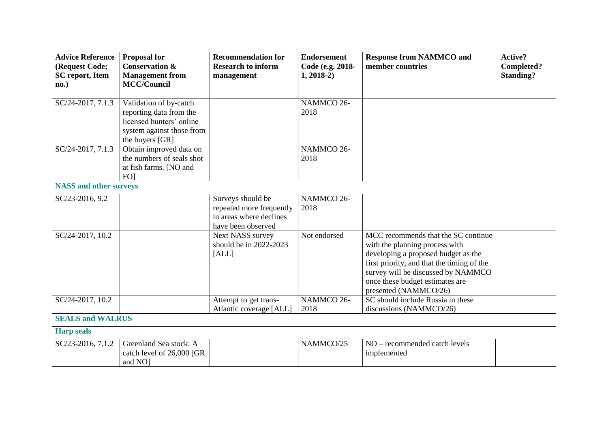| <b>Advice Reference</b><br>(Request Code;<br><b>SC</b> report, Item | <b>Proposal for</b><br><b>Conservation &amp;</b><br><b>Management from</b>                                                    | <b>Recommendation for</b><br><b>Research to inform</b><br>management                           | <b>Endorsement</b><br>Code (e.g. 2018-<br>$1, 2018-2)$ | <b>Response from NAMMCO and</b><br>member countries                                                                                                                                                                                                          | Active?<br>Completed?<br><b>Standing?</b> |
|---------------------------------------------------------------------|-------------------------------------------------------------------------------------------------------------------------------|------------------------------------------------------------------------------------------------|--------------------------------------------------------|--------------------------------------------------------------------------------------------------------------------------------------------------------------------------------------------------------------------------------------------------------------|-------------------------------------------|
| no.)                                                                | <b>MCC/Council</b>                                                                                                            |                                                                                                |                                                        |                                                                                                                                                                                                                                                              |                                           |
| SC/24-2017, 7.1.3                                                   | Validation of by-catch<br>reporting data from the<br>licensed hunters' online<br>system against those from<br>the buyers [GR] |                                                                                                | NAMMCO 26-<br>2018                                     |                                                                                                                                                                                                                                                              |                                           |
| SC/24-2017, 7.1.3                                                   | Obtain improved data on<br>the numbers of seals shot<br>at fish farms. [NO and<br>FO <sub>1</sub>                             |                                                                                                | NAMMCO 26-<br>2018                                     |                                                                                                                                                                                                                                                              |                                           |
| <b>NASS</b> and other surveys                                       |                                                                                                                               |                                                                                                |                                                        |                                                                                                                                                                                                                                                              |                                           |
| SC/23-2016, 9.2                                                     |                                                                                                                               | Surveys should be<br>repeated more frequently<br>in areas where declines<br>have been observed | NAMMCO 26-<br>2018                                     |                                                                                                                                                                                                                                                              |                                           |
| SC/24-2017, 10.2                                                    |                                                                                                                               | Next NASS survey<br>should be in 2022-2023<br>[ALL]                                            | Not endorsed                                           | MCC recommends that the SC continue<br>with the planning process with<br>developing a proposed budget as the<br>first priority, and that the timing of the<br>survey will be discussed by NAMMCO<br>once these budget estimates are<br>presented (NAMMCO/26) |                                           |
| SC/24-2017, 10.2                                                    |                                                                                                                               | Attempt to get trans-<br>Atlantic coverage [ALL]                                               | NAMMCO 26-<br>2018                                     | SC should include Russia in these<br>discussions (NAMMCO/26)                                                                                                                                                                                                 |                                           |
| <b>SEALS and WALRUS</b>                                             |                                                                                                                               |                                                                                                |                                                        |                                                                                                                                                                                                                                                              |                                           |
| <b>Harp seals</b>                                                   |                                                                                                                               |                                                                                                |                                                        |                                                                                                                                                                                                                                                              |                                           |
| SC/23-2016, 7.1.2                                                   | Greenland Sea stock: A<br>catch level of 26,000 [GR<br>and NO <sub>1</sub>                                                    |                                                                                                | NAMMCO/25                                              | NO - recommended catch levels<br>implemented                                                                                                                                                                                                                 |                                           |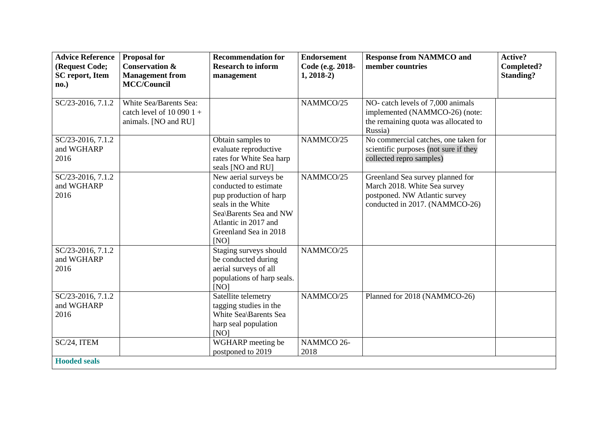| <b>Advice Reference</b><br>(Request Code;<br><b>SC</b> report, Item<br>no.) | <b>Proposal for</b><br><b>Conservation &amp;</b><br><b>Management from</b><br><b>MCC/Council</b> | <b>Recommendation for</b><br><b>Research to inform</b><br>management                                                                                                              | <b>Endorsement</b><br>Code (e.g. 2018-<br>$1, 2018-2)$ | <b>Response from NAMMCO and</b><br>member countries                                                                                 | Active?<br>Completed?<br><b>Standing?</b> |
|-----------------------------------------------------------------------------|--------------------------------------------------------------------------------------------------|-----------------------------------------------------------------------------------------------------------------------------------------------------------------------------------|--------------------------------------------------------|-------------------------------------------------------------------------------------------------------------------------------------|-------------------------------------------|
| SC/23-2016, 7.1.2                                                           | White Sea/Barents Sea:<br>catch level of $10\,090\,1 +$<br>animals. [NO and RU]                  |                                                                                                                                                                                   | NAMMCO/25                                              | NO- catch levels of 7,000 animals<br>implemented (NAMMCO-26) (note:<br>the remaining quota was allocated to<br>Russia)              |                                           |
| SC/23-2016, 7.1.2<br>and WGHARP<br>2016                                     |                                                                                                  | Obtain samples to<br>evaluate reproductive<br>rates for White Sea harp<br>seals [NO and RU]                                                                                       | NAMMCO/25                                              | No commercial catches, one taken for<br>scientific purposes (not sure if they<br>collected repro samples)                           |                                           |
| SC/23-2016, 7.1.2<br>and WGHARP<br>2016                                     |                                                                                                  | New aerial surveys be<br>conducted to estimate<br>pup production of harp<br>seals in the White<br>Sea\Barents Sea and NW<br>Atlantic in 2017 and<br>Greenland Sea in 2018<br>[NO] | NAMMCO/25                                              | Greenland Sea survey planned for<br>March 2018. White Sea survey<br>postponed. NW Atlantic survey<br>conducted in 2017. (NAMMCO-26) |                                           |
| SC/23-2016, 7.1.2<br>and WGHARP<br>2016                                     |                                                                                                  | Staging surveys should<br>be conducted during<br>aerial surveys of all<br>populations of harp seals.<br>[NO]                                                                      | NAMMCO/25                                              |                                                                                                                                     |                                           |
| SC/23-2016, 7.1.2<br>and WGHARP<br>2016                                     |                                                                                                  | Satellite telemetry<br>tagging studies in the<br>White Sea\Barents Sea<br>harp seal population<br>[NO]                                                                            | NAMMCO/25                                              | Planned for 2018 (NAMMCO-26)                                                                                                        |                                           |
| SC/24, ITEM<br><b>Hooded seals</b>                                          |                                                                                                  | WGHARP meeting be<br>postponed to 2019                                                                                                                                            | NAMMCO 26-<br>2018                                     |                                                                                                                                     |                                           |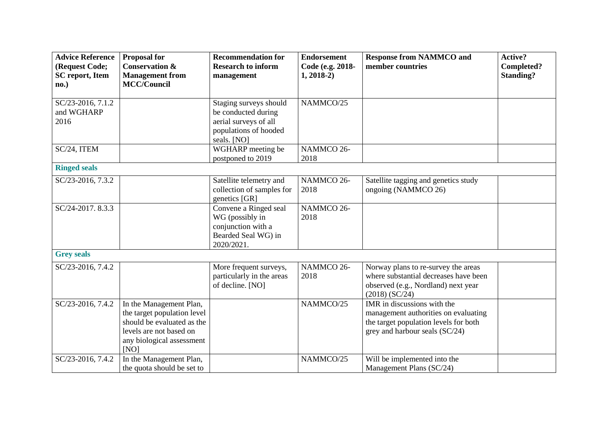| <b>Advice Reference</b> | <b>Proposal for</b>         | <b>Recommendation for</b> | <b>Endorsement</b> | <b>Response from NAMMCO and</b>       | <b>Active?</b>   |
|-------------------------|-----------------------------|---------------------------|--------------------|---------------------------------------|------------------|
| (Request Code;          | <b>Conservation &amp;</b>   | <b>Research to inform</b> | Code (e.g. 2018-   | member countries                      | Completed?       |
| <b>SC</b> report, Item  | <b>Management from</b>      | management                | $1, 2018-2)$       |                                       | <b>Standing?</b> |
| no.)                    | <b>MCC/Council</b>          |                           |                    |                                       |                  |
|                         |                             |                           |                    |                                       |                  |
| SC/23-2016, 7.1.2       |                             | Staging surveys should    | NAMMCO/25          |                                       |                  |
| and WGHARP              |                             | be conducted during       |                    |                                       |                  |
| 2016                    |                             | aerial surveys of all     |                    |                                       |                  |
|                         |                             | populations of hooded     |                    |                                       |                  |
|                         |                             | seals. [NO]               |                    |                                       |                  |
| SC/24, ITEM             |                             | WGHARP meeting be         | NAMMCO 26-         |                                       |                  |
|                         |                             | postponed to 2019         | 2018               |                                       |                  |
| <b>Ringed seals</b>     |                             |                           |                    |                                       |                  |
| SC/23-2016, 7.3.2       |                             | Satellite telemetry and   | NAMMCO 26-         | Satellite tagging and genetics study  |                  |
|                         |                             | collection of samples for | 2018               | ongoing (NAMMCO 26)                   |                  |
|                         |                             | genetics [GR]             |                    |                                       |                  |
| SC/24-2017. 8.3.3       |                             | Convene a Ringed seal     | NAMMCO 26-         |                                       |                  |
|                         |                             | WG (possibly in           | 2018               |                                       |                  |
|                         |                             | conjunction with a        |                    |                                       |                  |
|                         |                             | Bearded Seal WG) in       |                    |                                       |                  |
|                         |                             | 2020/2021.                |                    |                                       |                  |
| <b>Grey seals</b>       |                             |                           |                    |                                       |                  |
| SC/23-2016, 7.4.2       |                             | More frequent surveys,    | NAMMCO 26-         | Norway plans to re-survey the areas   |                  |
|                         |                             | particularly in the areas | 2018               | where substantial decreases have been |                  |
|                         |                             | of decline. [NO]          |                    | observed (e.g., Nordland) next year   |                  |
|                         |                             |                           |                    | $(2018)$ (SC/24)                      |                  |
| SC/23-2016, 7.4.2       | In the Management Plan,     |                           | NAMMCO/25          | IMR in discussions with the           |                  |
|                         | the target population level |                           |                    | management authorities on evaluating  |                  |
|                         | should be evaluated as the  |                           |                    | the target population levels for both |                  |
|                         | levels are not based on     |                           |                    | grey and harbour seals (SC/24)        |                  |
|                         | any biological assessment   |                           |                    |                                       |                  |
|                         | [NO]                        |                           |                    |                                       |                  |
| SC/23-2016, 7.4.2       | In the Management Plan,     |                           | NAMMCO/25          | Will be implemented into the          |                  |
|                         | the quota should be set to  |                           |                    | Management Plans (SC/24)              |                  |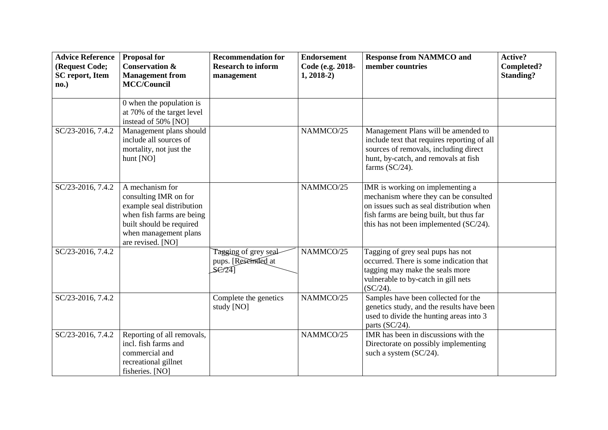| <b>Advice Reference</b><br>(Request Code;<br><b>SC</b> report, Item<br>no.) | <b>Proposal for</b><br><b>Conservation &amp;</b><br><b>Management from</b><br><b>MCC/Council</b>                                                                             | <b>Recommendation for</b><br><b>Research to inform</b><br>management | <b>Endorsement</b><br>Code (e.g. 2018-<br>$1, 2018-2)$ | <b>Response from NAMMCO and</b><br>member countries                                                                                                                                                         | Active?<br>Completed?<br><b>Standing?</b> |
|-----------------------------------------------------------------------------|------------------------------------------------------------------------------------------------------------------------------------------------------------------------------|----------------------------------------------------------------------|--------------------------------------------------------|-------------------------------------------------------------------------------------------------------------------------------------------------------------------------------------------------------------|-------------------------------------------|
|                                                                             | 0 when the population is<br>at 70% of the target level<br>instead of 50% [NO]                                                                                                |                                                                      |                                                        |                                                                                                                                                                                                             |                                           |
| SC/23-2016, 7.4.2                                                           | Management plans should<br>include all sources of<br>mortality, not just the<br>hunt [NO]                                                                                    |                                                                      | NAMMCO/25                                              | Management Plans will be amended to<br>include text that requires reporting of all<br>sources of removals, including direct<br>hunt, by-catch, and removals at fish<br>farms $(SC/24)$ .                    |                                           |
| SC/23-2016, 7.4.2                                                           | A mechanism for<br>consulting IMR on for<br>example seal distribution<br>when fish farms are being<br>built should be required<br>when management plans<br>are revised. [NO] |                                                                      | NAMMCO/25                                              | IMR is working on implementing a<br>mechanism where they can be consulted<br>on issues such as seal distribution when<br>fish farms are being built, but thus far<br>this has not been implemented (SC/24). |                                           |
| SC/23-2016, 7.4.2                                                           |                                                                                                                                                                              | Tagging of grey seal-<br>pups. [Reserred at<br>SE/24                 | NAMMCO/25                                              | Tagging of grey seal pups has not<br>occurred. There is some indication that<br>tagging may make the seals more<br>vulnerable to by-catch in gill nets<br>$(SC/24)$ .                                       |                                           |
| SC/23-2016, 7.4.2                                                           |                                                                                                                                                                              | Complete the genetics<br>study [NO]                                  | NAMMCO/25                                              | Samples have been collected for the<br>genetics study, and the results have been<br>used to divide the hunting areas into 3<br>parts (SC/24).                                                               |                                           |
| SC/23-2016, 7.4.2                                                           | Reporting of all removals,<br>incl. fish farms and<br>commercial and<br>recreational gillnet<br>fisheries. [NO]                                                              |                                                                      | NAMMCO/25                                              | IMR has been in discussions with the<br>Directorate on possibly implementing<br>such a system (SC/24).                                                                                                      |                                           |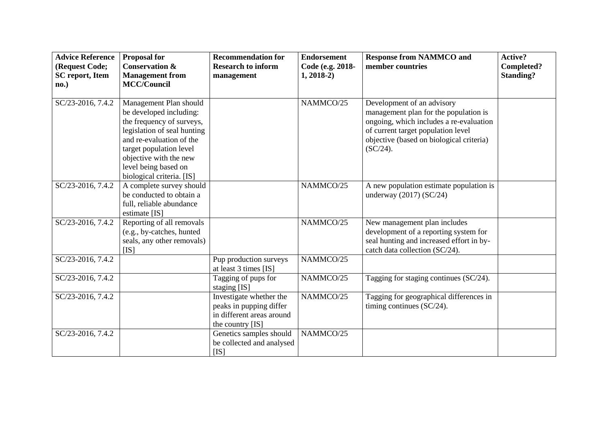| <b>Advice Reference</b><br>(Request Code;<br><b>SC</b> report, Item<br>no.) | <b>Proposal for</b><br><b>Conservation &amp;</b><br><b>Management</b> from<br><b>MCC/Council</b>                                                                                                                                                    | <b>Recommendation for</b><br><b>Research to inform</b><br>management                                | <b>Endorsement</b><br>Code (e.g. 2018-<br>$1, 2018-2)$ | <b>Response from NAMMCO and</b><br>member countries                                                                                                                                                             | Active?<br>Completed?<br><b>Standing?</b> |
|-----------------------------------------------------------------------------|-----------------------------------------------------------------------------------------------------------------------------------------------------------------------------------------------------------------------------------------------------|-----------------------------------------------------------------------------------------------------|--------------------------------------------------------|-----------------------------------------------------------------------------------------------------------------------------------------------------------------------------------------------------------------|-------------------------------------------|
| SC/23-2016, 7.4.2                                                           | Management Plan should<br>be developed including:<br>the frequency of surveys,<br>legislation of seal hunting<br>and re-evaluation of the<br>target population level<br>objective with the new<br>level being based on<br>biological criteria. [IS] |                                                                                                     | NAMMCO/25                                              | Development of an advisory<br>management plan for the population is<br>ongoing, which includes a re-evaluation<br>of current target population level<br>objective (based on biological criteria)<br>$(SC/24)$ . |                                           |
| SC/23-2016, 7.4.2                                                           | A complete survey should<br>be conducted to obtain a<br>full, reliable abundance<br>estimate [IS]                                                                                                                                                   |                                                                                                     | NAMMCO/25                                              | A new population estimate population is<br>underway $(2017)$ (SC/24)                                                                                                                                            |                                           |
| SC/23-2016, 7.4.2                                                           | Reporting of all removals<br>(e.g., by-catches, hunted<br>seals, any other removals)<br>[IS]                                                                                                                                                        |                                                                                                     | NAMMCO/25                                              | New management plan includes<br>development of a reporting system for<br>seal hunting and increased effort in by-<br>catch data collection (SC/24).                                                             |                                           |
| SC/23-2016, 7.4.2                                                           |                                                                                                                                                                                                                                                     | Pup production surveys<br>at least 3 times [IS]                                                     | NAMMCO/25                                              |                                                                                                                                                                                                                 |                                           |
| SC/23-2016, 7.4.2                                                           |                                                                                                                                                                                                                                                     | Tagging of pups for<br>staging [IS]                                                                 | NAMMCO/25                                              | Tagging for staging continues (SC/24).                                                                                                                                                                          |                                           |
| SC/23-2016, 7.4.2                                                           |                                                                                                                                                                                                                                                     | Investigate whether the<br>peaks in pupping differ<br>in different areas around<br>the country [IS] | NAMMCO/25                                              | Tagging for geographical differences in<br>timing continues (SC/24).                                                                                                                                            |                                           |
| SC/23-2016, 7.4.2                                                           |                                                                                                                                                                                                                                                     | Genetics samples should<br>be collected and analysed<br>[IS]                                        | NAMMCO/25                                              |                                                                                                                                                                                                                 |                                           |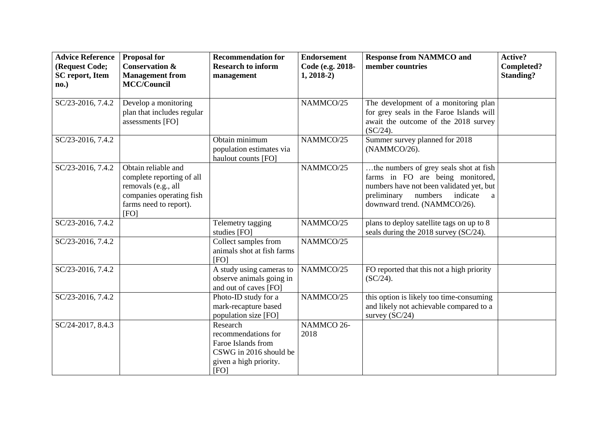| <b>Advice Reference</b><br>(Request Code;<br><b>SC</b> report, Item<br>no.) | <b>Proposal for</b><br><b>Conservation &amp;</b><br><b>Management from</b><br><b>MCC/Council</b>                                      | <b>Recommendation for</b><br><b>Research to inform</b><br>management                                              | <b>Endorsement</b><br>Code (e.g. 2018-<br>$1, 2018-2)$ | <b>Response from NAMMCO and</b><br>member countries                                                                                                                                               | Active?<br>Completed?<br><b>Standing?</b> |
|-----------------------------------------------------------------------------|---------------------------------------------------------------------------------------------------------------------------------------|-------------------------------------------------------------------------------------------------------------------|--------------------------------------------------------|---------------------------------------------------------------------------------------------------------------------------------------------------------------------------------------------------|-------------------------------------------|
| SC/23-2016, 7.4.2                                                           | Develop a monitoring<br>plan that includes regular<br>assessments [FO]                                                                |                                                                                                                   | NAMMCO/25                                              | The development of a monitoring plan<br>for grey seals in the Faroe Islands will<br>await the outcome of the 2018 survey<br>$(SC/24)$ .                                                           |                                           |
| SC/23-2016, 7.4.2                                                           |                                                                                                                                       | Obtain minimum<br>population estimates via<br>haulout counts [FO]                                                 | NAMMCO/25                                              | Summer survey planned for 2018<br>(NAMMCO/26).                                                                                                                                                    |                                           |
| SC/23-2016, 7.4.2                                                           | Obtain reliable and<br>complete reporting of all<br>removals (e.g., all<br>companies operating fish<br>farms need to report).<br>[FO] |                                                                                                                   | NAMMCO/25                                              | the numbers of grey seals shot at fish<br>farms in FO are being monitored,<br>numbers have not been validated yet, but<br>preliminary<br>numbers<br>indicate<br>a<br>downward trend. (NAMMCO/26). |                                           |
| SC/23-2016, 7.4.2                                                           |                                                                                                                                       | Telemetry tagging<br>studies [FO]                                                                                 | NAMMCO/25                                              | plans to deploy satellite tags on up to 8<br>seals during the 2018 survey (SC/24).                                                                                                                |                                           |
| SC/23-2016, 7.4.2                                                           |                                                                                                                                       | Collect samples from<br>animals shot at fish farms<br>[FO]                                                        | NAMMCO/25                                              |                                                                                                                                                                                                   |                                           |
| SC/23-2016, 7.4.2                                                           |                                                                                                                                       | A study using cameras to<br>observe animals going in<br>and out of caves [FO]                                     | NAMMCO/25                                              | FO reported that this not a high priority<br>$(SC/24)$ .                                                                                                                                          |                                           |
| SC/23-2016, 7.4.2                                                           |                                                                                                                                       | Photo-ID study for a<br>mark-recapture based<br>population size [FO]                                              | NAMMCO/25                                              | this option is likely too time-consuming<br>and likely not achievable compared to a<br>survey $(SC/24)$                                                                                           |                                           |
| SC/24-2017, 8.4.3                                                           |                                                                                                                                       | Research<br>recommendations for<br>Faroe Islands from<br>CSWG in 2016 should be<br>given a high priority.<br>[FO] | NAMMCO 26-<br>2018                                     |                                                                                                                                                                                                   |                                           |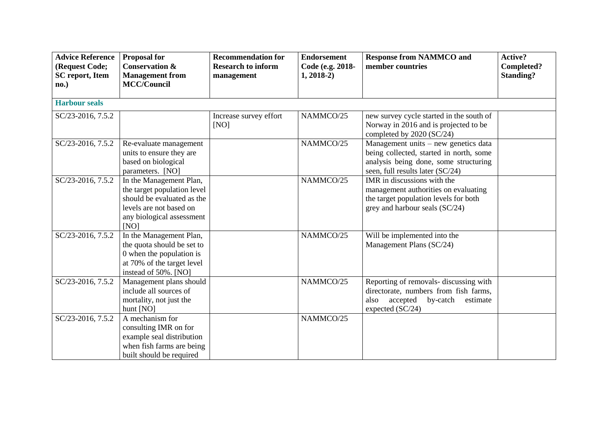| <b>Advice Reference</b><br>(Request Code;<br><b>SC</b> report, Item<br>no.) | <b>Proposal for</b><br><b>Conservation &amp;</b><br><b>Management from</b><br><b>MCC/Council</b>                                                     | <b>Recommendation for</b><br><b>Research to inform</b><br>management | <b>Endorsement</b><br>Code (e.g. 2018-<br>$1, 2018-2)$ | <b>Response from NAMMCO and</b><br>member countries                                                                                                            | <b>Active?</b><br>Completed?<br><b>Standing?</b> |
|-----------------------------------------------------------------------------|------------------------------------------------------------------------------------------------------------------------------------------------------|----------------------------------------------------------------------|--------------------------------------------------------|----------------------------------------------------------------------------------------------------------------------------------------------------------------|--------------------------------------------------|
| <b>Harbour seals</b>                                                        |                                                                                                                                                      |                                                                      |                                                        |                                                                                                                                                                |                                                  |
| SC/23-2016, 7.5.2                                                           |                                                                                                                                                      | Increase survey effort<br>[NO]                                       | NAMMCO/25                                              | new survey cycle started in the south of<br>Norway in 2016 and is projected to be<br>completed by 2020 (SC/24)                                                 |                                                  |
| SC/23-2016, 7.5.2                                                           | Re-evaluate management<br>units to ensure they are<br>based on biological<br>parameters. [NO]                                                        |                                                                      | NAMMCO/25                                              | Management units $-$ new genetics data<br>being collected, started in north, some<br>analysis being done, some structuring<br>seen, full results later (SC/24) |                                                  |
| SC/23-2016, 7.5.2                                                           | In the Management Plan,<br>the target population level<br>should be evaluated as the<br>levels are not based on<br>any biological assessment<br>[NO] |                                                                      | NAMMCO/25                                              | IMR in discussions with the<br>management authorities on evaluating<br>the target population levels for both<br>grey and harbour seals (SC/24)                 |                                                  |
| SC/23-2016, 7.5.2                                                           | In the Management Plan,<br>the quota should be set to<br>0 when the population is<br>at 70% of the target level<br>instead of 50%. [NO]              |                                                                      | NAMMCO/25                                              | Will be implemented into the<br>Management Plans (SC/24)                                                                                                       |                                                  |
| SC/23-2016, 7.5.2                                                           | Management plans should<br>include all sources of<br>mortality, not just the<br>hunt [NO]                                                            |                                                                      | NAMMCO/25                                              | Reporting of removals- discussing with<br>directorate, numbers from fish farms,<br>accepted<br>by-catch<br>also<br>estimate<br>expected (SC/24)                |                                                  |
| SC/23-2016, 7.5.2                                                           | A mechanism for<br>consulting IMR on for<br>example seal distribution<br>when fish farms are being<br>built should be required                       |                                                                      | NAMMCO/25                                              |                                                                                                                                                                |                                                  |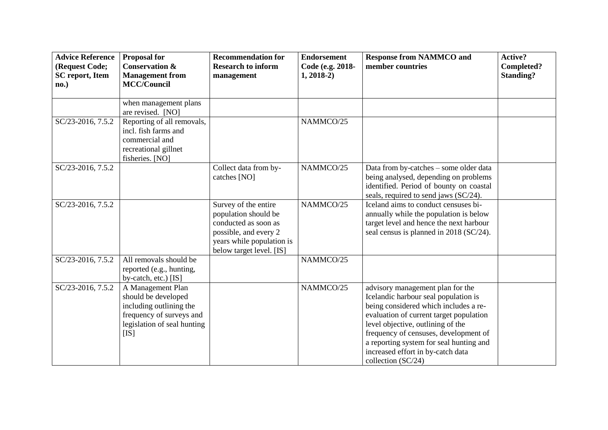| <b>Advice Reference</b><br>(Request Code;<br><b>SC</b> report, Item<br>no.) | <b>Proposal for</b><br><b>Conservation &amp;</b><br><b>Management</b> from<br><b>MCC/Council</b>                                       | <b>Recommendation for</b><br><b>Research to inform</b><br>management                                                                                   | <b>Endorsement</b><br>Code (e.g. 2018-<br>$1, 2018-2)$ | <b>Response from NAMMCO and</b><br>member countries                                                                                                                                                                                                                                                                                              | <b>Active?</b><br>Completed?<br><b>Standing?</b> |
|-----------------------------------------------------------------------------|----------------------------------------------------------------------------------------------------------------------------------------|--------------------------------------------------------------------------------------------------------------------------------------------------------|--------------------------------------------------------|--------------------------------------------------------------------------------------------------------------------------------------------------------------------------------------------------------------------------------------------------------------------------------------------------------------------------------------------------|--------------------------------------------------|
|                                                                             | when management plans<br>are revised. [NO]                                                                                             |                                                                                                                                                        |                                                        |                                                                                                                                                                                                                                                                                                                                                  |                                                  |
| $SC/23-2016, 7.5.2$                                                         | Reporting of all removals,<br>incl. fish farms and<br>commercial and<br>recreational gillnet<br>fisheries. [NO]                        |                                                                                                                                                        | NAMMCO/25                                              |                                                                                                                                                                                                                                                                                                                                                  |                                                  |
| SC/23-2016, 7.5.2                                                           |                                                                                                                                        | Collect data from by-<br>catches [NO]                                                                                                                  | NAMMCO/25                                              | Data from by-catches - some older data<br>being analysed, depending on problems<br>identified. Period of bounty on coastal<br>seals, required to send jaws (SC/24).                                                                                                                                                                              |                                                  |
| SC/23-2016, 7.5.2                                                           |                                                                                                                                        | Survey of the entire<br>population should be<br>conducted as soon as<br>possible, and every 2<br>years while population is<br>below target level. [IS] | NAMMCO/25                                              | Iceland aims to conduct censuses bi-<br>annually while the population is below<br>target level and hence the next harbour<br>seal census is planned in 2018 (SC/24).                                                                                                                                                                             |                                                  |
| SC/23-2016, 7.5.2                                                           | All removals should be<br>reported (e.g., hunting,<br>by-catch, etc.) [IS]                                                             |                                                                                                                                                        | NAMMCO/25                                              |                                                                                                                                                                                                                                                                                                                                                  |                                                  |
| SC/23-2016, 7.5.2                                                           | A Management Plan<br>should be developed<br>including outlining the<br>frequency of surveys and<br>legislation of seal hunting<br>[IS] |                                                                                                                                                        | NAMMCO/25                                              | advisory management plan for the<br>Icelandic harbour seal population is<br>being considered which includes a re-<br>evaluation of current target population<br>level objective, outlining of the<br>frequency of censuses, development of<br>a reporting system for seal hunting and<br>increased effort in by-catch data<br>collection (SC/24) |                                                  |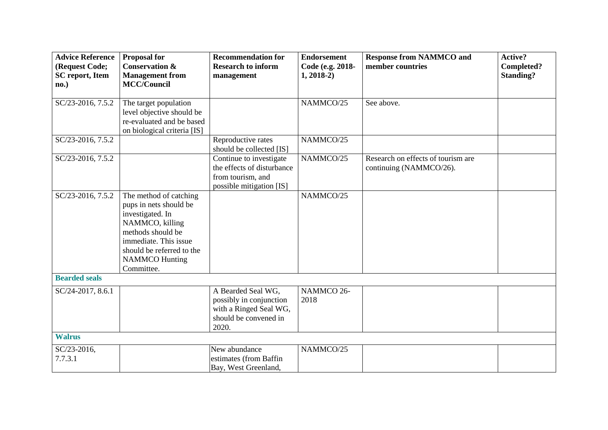| <b>Advice Reference</b> | <b>Proposal for</b>                                                                                                                                                                                       | <b>Recommendation for</b>                                                                                 | <b>Endorsement</b> | <b>Response from NAMMCO and</b>                               | Active?          |
|-------------------------|-----------------------------------------------------------------------------------------------------------------------------------------------------------------------------------------------------------|-----------------------------------------------------------------------------------------------------------|--------------------|---------------------------------------------------------------|------------------|
| (Request Code;          | <b>Conservation &amp;</b>                                                                                                                                                                                 | <b>Research to inform</b>                                                                                 | Code (e.g. 2018-   | member countries                                              | Completed?       |
| <b>SC</b> report, Item  | <b>Management from</b>                                                                                                                                                                                    | management                                                                                                | $1, 2018-2)$       |                                                               | <b>Standing?</b> |
| no.)                    | <b>MCC/Council</b>                                                                                                                                                                                        |                                                                                                           |                    |                                                               |                  |
| SC/23-2016, 7.5.2       | The target population<br>level objective should be<br>re-evaluated and be based<br>on biological criteria [IS]                                                                                            |                                                                                                           | NAMMCO/25          | See above.                                                    |                  |
| SC/23-2016, 7.5.2       |                                                                                                                                                                                                           | Reproductive rates<br>should be collected [IS]                                                            | NAMMCO/25          |                                                               |                  |
| SC/23-2016, 7.5.2       |                                                                                                                                                                                                           | Continue to investigate<br>the effects of disturbance<br>from tourism, and<br>possible mitigation [IS]    | NAMMCO/25          | Research on effects of tourism are<br>continuing (NAMMCO/26). |                  |
| SC/23-2016, 7.5.2       | The method of catching<br>pups in nets should be<br>investigated. In<br>NAMMCO, killing<br>methods should be<br>immediate. This issue<br>should be referred to the<br><b>NAMMCO</b> Hunting<br>Committee. |                                                                                                           | NAMMCO/25          |                                                               |                  |
| <b>Bearded seals</b>    |                                                                                                                                                                                                           |                                                                                                           |                    |                                                               |                  |
| SC/24-2017, 8.6.1       |                                                                                                                                                                                                           | A Bearded Seal WG,<br>possibly in conjunction<br>with a Ringed Seal WG,<br>should be convened in<br>2020. | NAMMCO 26-<br>2018 |                                                               |                  |
| <b>Walrus</b>           |                                                                                                                                                                                                           |                                                                                                           |                    |                                                               |                  |
| SC/23-2016,<br>7.7.3.1  |                                                                                                                                                                                                           | New abundance<br>estimates (from Baffin<br>Bay, West Greenland,                                           | NAMMCO/25          |                                                               |                  |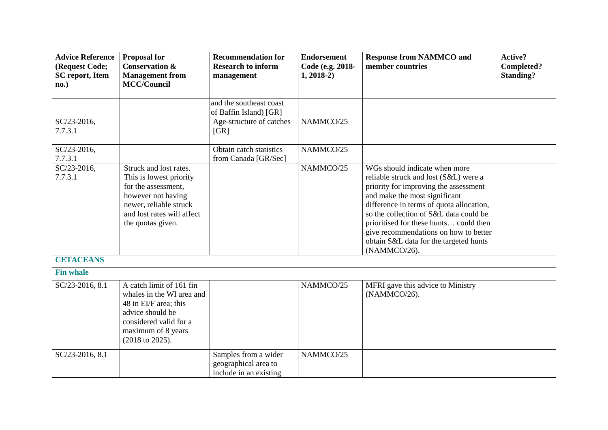| <b>Advice Reference</b><br>(Request Code;<br><b>SC</b> report, Item<br>no.) | <b>Proposal for</b><br><b>Conservation &amp;</b><br><b>Management from</b><br><b>MCC/Council</b>                                                                            | <b>Recommendation for</b><br><b>Research to inform</b><br>management   | <b>Endorsement</b><br>Code (e.g. 2018-<br>$1, 2018-2)$ | <b>Response from NAMMCO and</b><br>member countries                                                                                                                                                                                                                                                                                                                                 | Active?<br>Completed?<br><b>Standing?</b> |
|-----------------------------------------------------------------------------|-----------------------------------------------------------------------------------------------------------------------------------------------------------------------------|------------------------------------------------------------------------|--------------------------------------------------------|-------------------------------------------------------------------------------------------------------------------------------------------------------------------------------------------------------------------------------------------------------------------------------------------------------------------------------------------------------------------------------------|-------------------------------------------|
|                                                                             |                                                                                                                                                                             | and the southeast coast<br>of Baffin Island) [GR]                      |                                                        |                                                                                                                                                                                                                                                                                                                                                                                     |                                           |
| SC/23-2016,<br>7.7.3.1                                                      |                                                                                                                                                                             | Age-structure of catches<br>[GR]                                       | NAMMCO/25                                              |                                                                                                                                                                                                                                                                                                                                                                                     |                                           |
| SC/23-2016,<br>7.7.3.1                                                      |                                                                                                                                                                             | Obtain catch statistics<br>from Canada [GR/Sec]                        | NAMMCO/25                                              |                                                                                                                                                                                                                                                                                                                                                                                     |                                           |
| SC/23-2016,<br>7.7.3.1                                                      | Struck and lost rates.<br>This is lowest priority<br>for the assessment,<br>however not having<br>newer, reliable struck<br>and lost rates will affect<br>the quotas given. |                                                                        | NAMMCO/25                                              | WGs should indicate when more<br>reliable struck and lost (S&L) were a<br>priority for improving the assessment<br>and make the most significant<br>difference in terms of quota allocation,<br>so the collection of S&L data could be<br>prioritised for these hunts could then<br>give recommendations on how to better<br>obtain S&L data for the targeted hunts<br>(NAMMCO/26). |                                           |
| <b>CETACEANS</b>                                                            |                                                                                                                                                                             |                                                                        |                                                        |                                                                                                                                                                                                                                                                                                                                                                                     |                                           |
| <b>Fin whale</b>                                                            |                                                                                                                                                                             |                                                                        |                                                        |                                                                                                                                                                                                                                                                                                                                                                                     |                                           |
| SC/23-2016, 8.1                                                             | A catch limit of 161 fin<br>whales in the WI area and<br>48 in EI/F area; this<br>advice should be<br>considered valid for a<br>maximum of 8 years<br>(2018 to 2025).       |                                                                        | NAMMCO/25                                              | MFRI gave this advice to Ministry<br>(NAMMCO/26).                                                                                                                                                                                                                                                                                                                                   |                                           |
| SC/23-2016, 8.1                                                             |                                                                                                                                                                             | Samples from a wider<br>geographical area to<br>include in an existing | NAMMCO/25                                              |                                                                                                                                                                                                                                                                                                                                                                                     |                                           |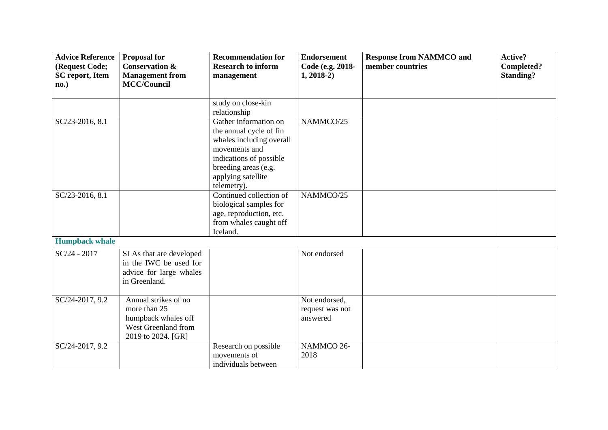| <b>Advice Reference</b><br>(Request Code;<br><b>SC</b> report, Item<br>no.) | <b>Proposal for</b><br><b>Conservation &amp;</b><br><b>Management from</b><br><b>MCC/Council</b>         | <b>Recommendation for</b><br><b>Research to inform</b><br>management                                                                                                                  | <b>Endorsement</b><br>Code (e.g. 2018-<br>$1, 2018-2)$ | <b>Response from NAMMCO and</b><br>member countries | Active?<br>Completed?<br><b>Standing?</b> |
|-----------------------------------------------------------------------------|----------------------------------------------------------------------------------------------------------|---------------------------------------------------------------------------------------------------------------------------------------------------------------------------------------|--------------------------------------------------------|-----------------------------------------------------|-------------------------------------------|
|                                                                             |                                                                                                          | study on close-kin<br>relationship                                                                                                                                                    |                                                        |                                                     |                                           |
| SC/23-2016, 8.1                                                             |                                                                                                          | Gather information on<br>the annual cycle of fin<br>whales including overall<br>movements and<br>indications of possible<br>breeding areas (e.g.<br>applying satellite<br>telemetry). | NAMMCO/25                                              |                                                     |                                           |
| SC/23-2016, 8.1                                                             |                                                                                                          | Continued collection of<br>biological samples for<br>age, reproduction, etc.<br>from whales caught off<br>Iceland.                                                                    | NAMMCO/25                                              |                                                     |                                           |
| <b>Humpback whale</b>                                                       |                                                                                                          |                                                                                                                                                                                       |                                                        |                                                     |                                           |
| $SC/24 - 2017$                                                              | SLAs that are developed<br>in the IWC be used for<br>advice for large whales<br>in Greenland.            |                                                                                                                                                                                       | Not endorsed                                           |                                                     |                                           |
| SC/24-2017, 9.2                                                             | Annual strikes of no<br>more than 25<br>humpback whales off<br>West Greenland from<br>2019 to 2024. [GR] |                                                                                                                                                                                       | Not endorsed,<br>request was not<br>answered           |                                                     |                                           |
| SC/24-2017, 9.2                                                             |                                                                                                          | Research on possible<br>movements of<br>individuals between                                                                                                                           | NAMMCO 26-<br>2018                                     |                                                     |                                           |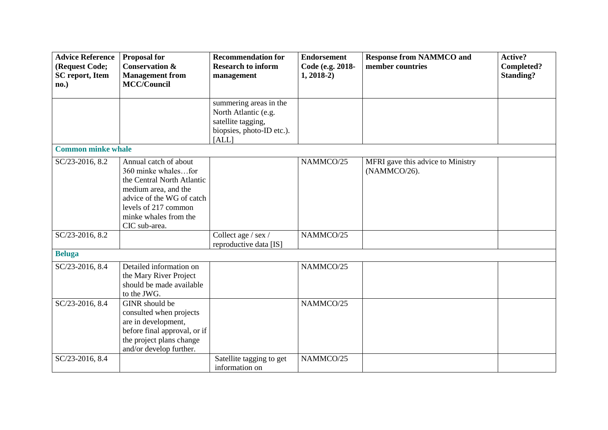| <b>Advice Reference</b><br>(Request Code;<br><b>SC</b> report, Item<br>no.) | <b>Proposal for</b><br><b>Conservation &amp;</b><br><b>Management from</b><br><b>MCC/Council</b>                                                                                                  | <b>Recommendation for</b><br><b>Research to inform</b><br>management                                       | <b>Endorsement</b><br>Code (e.g. 2018-<br>$1, 2018-2)$ | <b>Response from NAMMCO and</b><br>member countries | Active?<br>Completed?<br><b>Standing?</b> |
|-----------------------------------------------------------------------------|---------------------------------------------------------------------------------------------------------------------------------------------------------------------------------------------------|------------------------------------------------------------------------------------------------------------|--------------------------------------------------------|-----------------------------------------------------|-------------------------------------------|
|                                                                             |                                                                                                                                                                                                   | summering areas in the<br>North Atlantic (e.g.<br>satellite tagging,<br>biopsies, photo-ID etc.).<br>[ALL] |                                                        |                                                     |                                           |
| <b>Common minke whale</b>                                                   |                                                                                                                                                                                                   |                                                                                                            |                                                        |                                                     |                                           |
| SC/23-2016, 8.2                                                             | Annual catch of about<br>360 minke whalesfor<br>the Central North Atlantic<br>medium area, and the<br>advice of the WG of catch<br>levels of 217 common<br>minke whales from the<br>CIC sub-area. |                                                                                                            | NAMMCO/25                                              | MFRI gave this advice to Ministry<br>(NAMMCO/26).   |                                           |
| SC/23-2016, 8.2                                                             |                                                                                                                                                                                                   | Collect age / sex /<br>reproductive data [IS]                                                              | NAMMCO/25                                              |                                                     |                                           |
| <b>Beluga</b>                                                               |                                                                                                                                                                                                   |                                                                                                            |                                                        |                                                     |                                           |
| SC/23-2016, 8.4                                                             | Detailed information on<br>the Mary River Project<br>should be made available<br>to the JWG.                                                                                                      |                                                                                                            | NAMMCO/25                                              |                                                     |                                           |
| SC/23-2016, 8.4                                                             | GINR should be<br>consulted when projects<br>are in development,<br>before final approval, or if<br>the project plans change<br>and/or develop further.                                           |                                                                                                            | NAMMCO/25                                              |                                                     |                                           |
| SC/23-2016, 8.4                                                             |                                                                                                                                                                                                   | Satellite tagging to get<br>information on                                                                 | NAMMCO/25                                              |                                                     |                                           |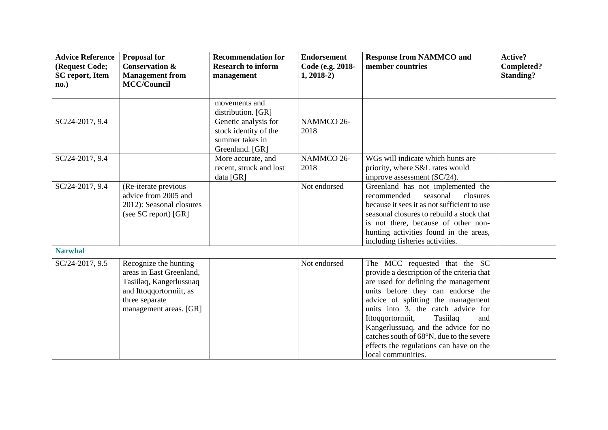| <b>Advice Reference</b><br>(Request Code; | <b>Proposal for</b><br><b>Conservation &amp;</b>                                                                                                    | <b>Recommendation for</b><br><b>Research to inform</b>                              | <b>Endorsement</b><br>Code (e.g. 2018- | <b>Response from NAMMCO and</b><br>member countries                                                                                                                                                                                                                                                                                                                                                                              | Active?<br>Completed? |
|-------------------------------------------|-----------------------------------------------------------------------------------------------------------------------------------------------------|-------------------------------------------------------------------------------------|----------------------------------------|----------------------------------------------------------------------------------------------------------------------------------------------------------------------------------------------------------------------------------------------------------------------------------------------------------------------------------------------------------------------------------------------------------------------------------|-----------------------|
| <b>SC</b> report, Item<br>no.)            | <b>Management</b> from<br><b>MCC/Council</b>                                                                                                        | management                                                                          | $1, 2018-2)$                           |                                                                                                                                                                                                                                                                                                                                                                                                                                  | <b>Standing?</b>      |
|                                           |                                                                                                                                                     | movements and<br>distribution. [GR]                                                 |                                        |                                                                                                                                                                                                                                                                                                                                                                                                                                  |                       |
| SC/24-2017, 9.4                           |                                                                                                                                                     | Genetic analysis for<br>stock identity of the<br>summer takes in<br>Greenland. [GR] | NAMMCO 26-<br>2018                     |                                                                                                                                                                                                                                                                                                                                                                                                                                  |                       |
| SC/24-2017, 9.4                           |                                                                                                                                                     | More accurate, and<br>recent, struck and lost<br>data [GR]                          | NAMMCO 26-<br>2018                     | WGs will indicate which hunts are<br>priority, where S&L rates would<br>improve assessment (SC/24).                                                                                                                                                                                                                                                                                                                              |                       |
| SC/24-2017, 9.4                           | (Re-iterate previous<br>advice from 2005 and<br>2012): Seasonal closures<br>(see SC report) [GR]                                                    |                                                                                     | Not endorsed                           | Greenland has not implemented the<br>seasonal<br>closures<br>recommended<br>because it sees it as not sufficient to use<br>seasonal closures to rebuild a stock that<br>is not there, because of other non-<br>hunting activities found in the areas,<br>including fisheries activities.                                                                                                                                         |                       |
| <b>Narwhal</b>                            |                                                                                                                                                     |                                                                                     |                                        |                                                                                                                                                                                                                                                                                                                                                                                                                                  |                       |
| SC/24-2017, 9.5                           | Recognize the hunting<br>areas in East Greenland,<br>Tasiilaq, Kangerlussuaq<br>and Ittoqqortormiit, as<br>three separate<br>management areas. [GR] |                                                                                     | Not endorsed                           | The MCC requested that the SC<br>provide a description of the criteria that<br>are used for defining the management<br>units before they can endorse the<br>advice of splitting the management<br>units into 3, the catch advice for<br>Tasiilaq<br>Ittoqqortormiit,<br>and<br>Kangerlussuaq, and the advice for no<br>catches south of 68°N, due to the severe<br>effects the regulations can have on the<br>local communities. |                       |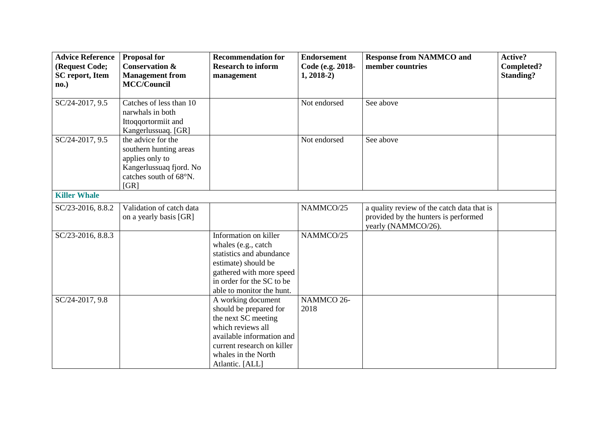| <b>Advice Reference</b><br>(Request Code;<br><b>SC</b> report, Item | <b>Proposal for</b><br><b>Conservation &amp;</b><br><b>Management from</b>                                                   | <b>Recommendation for</b><br><b>Research to inform</b><br>management                                                                                                                          | <b>Endorsement</b><br>Code (e.g. 2018-<br>$1, 2018-2)$ | <b>Response from NAMMCO and</b><br>member countries                                                       | Active?<br>Completed?<br><b>Standing?</b> |
|---------------------------------------------------------------------|------------------------------------------------------------------------------------------------------------------------------|-----------------------------------------------------------------------------------------------------------------------------------------------------------------------------------------------|--------------------------------------------------------|-----------------------------------------------------------------------------------------------------------|-------------------------------------------|
| no.)                                                                | <b>MCC/Council</b>                                                                                                           |                                                                                                                                                                                               |                                                        |                                                                                                           |                                           |
| SC/24-2017, 9.5                                                     | Catches of less than 10<br>narwhals in both<br>Ittoqqortormiit and<br>Kangerlussuaq. [GR]                                    |                                                                                                                                                                                               | Not endorsed                                           | See above                                                                                                 |                                           |
| SC/24-2017, 9.5                                                     | the advice for the<br>southern hunting areas<br>applies only to<br>Kangerlussuaq fjord. No<br>catches south of 68°N.<br>[GR] |                                                                                                                                                                                               | Not endorsed                                           | See above                                                                                                 |                                           |
| <b>Killer Whale</b>                                                 |                                                                                                                              |                                                                                                                                                                                               |                                                        |                                                                                                           |                                           |
| SC/23-2016, 8.8.2                                                   | Validation of catch data<br>on a yearly basis [GR]                                                                           |                                                                                                                                                                                               | NAMMCO/25                                              | a quality review of the catch data that is<br>provided by the hunters is performed<br>yearly (NAMMCO/26). |                                           |
| SC/23-2016, 8.8.3                                                   |                                                                                                                              | Information on killer<br>whales (e.g., catch<br>statistics and abundance<br>estimate) should be<br>gathered with more speed<br>in order for the SC to be<br>able to monitor the hunt.         | NAMMCO/25                                              |                                                                                                           |                                           |
| $SC/24-2017, 9.8$                                                   |                                                                                                                              | A working document<br>should be prepared for<br>the next SC meeting<br>which reviews all<br>available information and<br>current research on killer<br>whales in the North<br>Atlantic. [ALL] | NAMMCO 26-<br>2018                                     |                                                                                                           |                                           |